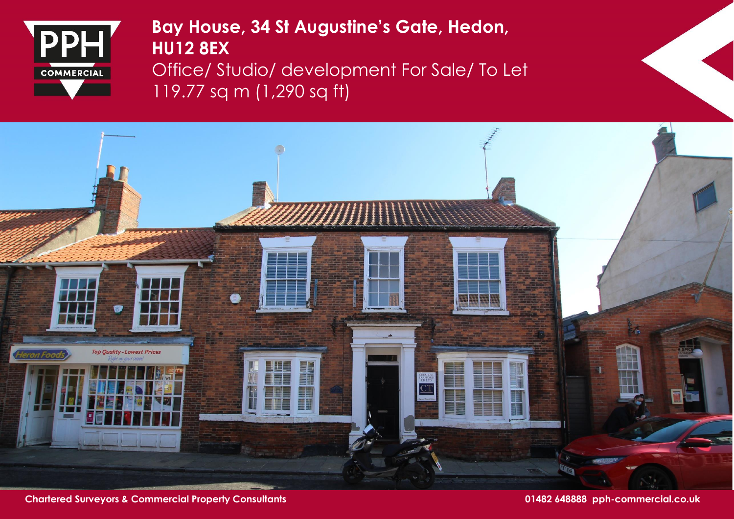

# **Bay House, 34 St Augustine's Gate, Hedon, HU12 8EX**

Office/ Studio/ development For Sale/ To Let 119.77 sq m (1,290 sq ft)